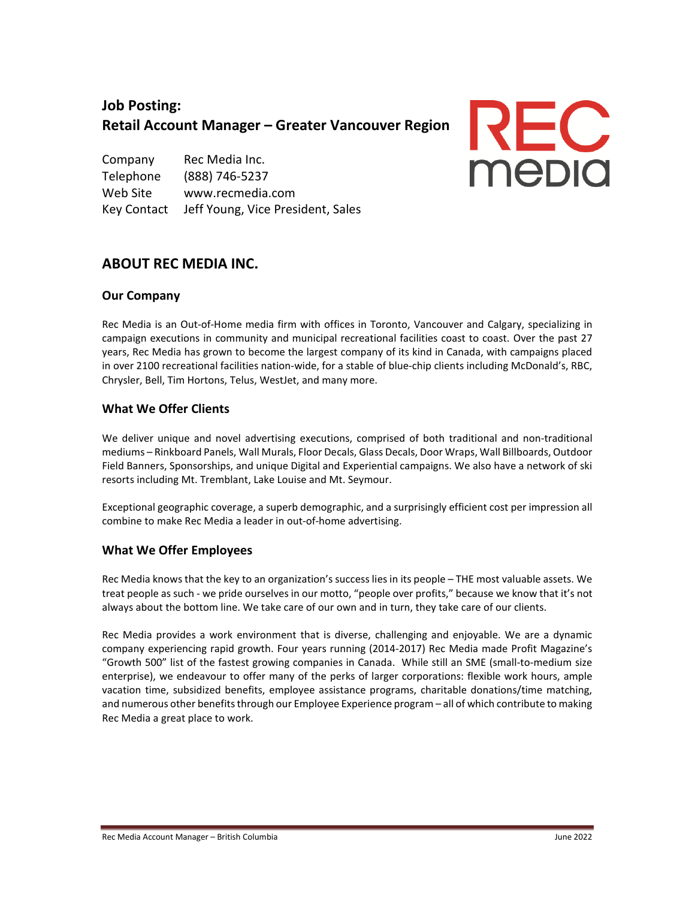# **Job Posting: Retail Account Manager – Greater Vancouver Region**

Company Rec Media Inc. Telephone (888) 746-5237 Web Site www.recmedia.com Key Contact Jeff Young, Vice President, Sales



# **ABOUT REC MEDIA INC.**

### **Our Company**

Rec Media is an Out-of-Home media firm with offices in Toronto, Vancouver and Calgary, specializing in campaign executions in community and municipal recreational facilities coast to coast. Over the past 27 years, Rec Media has grown to become the largest company of its kind in Canada, with campaigns placed in over 2100 recreational facilities nation-wide, for a stable of blue-chip clients including McDonald's, RBC, Chrysler, Bell, Tim Hortons, Telus, WestJet, and many more.

### **What We Offer Clients**

We deliver unique and novel advertising executions, comprised of both traditional and non-traditional mediums – Rinkboard Panels, Wall Murals, Floor Decals, Glass Decals, Door Wraps, Wall Billboards, Outdoor Field Banners, Sponsorships, and unique Digital and Experiential campaigns. We also have a network of ski resorts including Mt. Tremblant, Lake Louise and Mt. Seymour.

Exceptional geographic coverage, a superb demographic, and a surprisingly efficient cost per impression all combine to make Rec Media a leader in out-of-home advertising.

#### **What We Offer Employees**

Rec Media knows that the key to an organization's success lies in its people – THE most valuable assets. We treat people as such - we pride ourselves in our motto, "people over profits," because we know that it's not always about the bottom line. We take care of our own and in turn, they take care of our clients.

Rec Media provides a work environment that is diverse, challenging and enjoyable. We are a dynamic company experiencing rapid growth. Four years running (2014-2017) Rec Media made Profit Magazine's "Growth 500" list of the fastest growing companies in Canada. While still an SME (small-to-medium size enterprise), we endeavour to offer many of the perks of larger corporations: flexible work hours, ample vacation time, subsidized benefits, employee assistance programs, charitable donations/time matching, and numerous other benefits through our Employee Experience program – all of which contribute to making Rec Media a great place to work.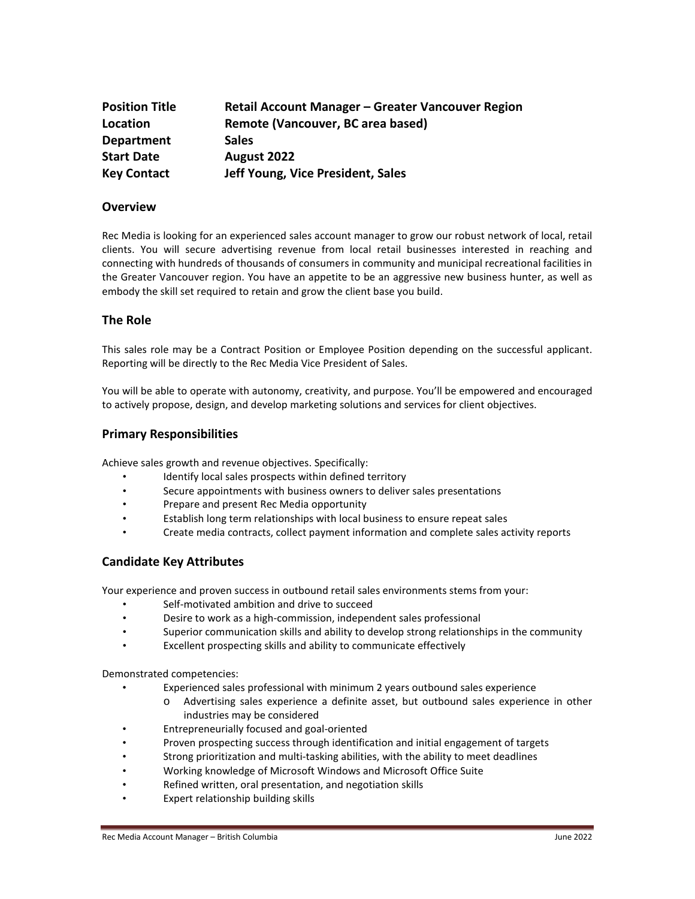| <b>Position Title</b> | Retail Account Manager - Greater Vancouver Region |
|-----------------------|---------------------------------------------------|
| Location              | Remote (Vancouver, BC area based)                 |
| Department            | <b>Sales</b>                                      |
| <b>Start Date</b>     | August 2022                                       |
| <b>Key Contact</b>    | Jeff Young, Vice President, Sales                 |

#### **Overview**

Rec Media is looking for an experienced sales account manager to grow our robust network of local, retail clients. You will secure advertising revenue from local retail businesses interested in reaching and connecting with hundreds of thousands of consumers in community and municipal recreational facilities in the Greater Vancouver region. You have an appetite to be an aggressive new business hunter, as well as embody the skill set required to retain and grow the client base you build.

#### **The Role**

This sales role may be a Contract Position or Employee Position depending on the successful applicant. Reporting will be directly to the Rec Media Vice President of Sales.

You will be able to operate with autonomy, creativity, and purpose. You'll be empowered and encouraged to actively propose, design, and develop marketing solutions and services for client objectives.

#### **Primary Responsibilities**

Achieve sales growth and revenue objectives. Specifically:

- Identify local sales prospects within defined territory
- Secure appointments with business owners to deliver sales presentations
- Prepare and present Rec Media opportunity
- Establish long term relationships with local business to ensure repeat sales
- Create media contracts, collect payment information and complete sales activity reports

#### **Candidate Key Attributes**

Your experience and proven success in outbound retail sales environments stems from your:

- Self-motivated ambition and drive to succeed
- Desire to work as a high-commission, independent sales professional
- Superior communication skills and ability to develop strong relationships in the community
- Excellent prospecting skills and ability to communicate effectively

Demonstrated competencies:

- Experienced sales professional with minimum 2 years outbound sales experience
	- o Advertising sales experience a definite asset, but outbound sales experience in other industries may be considered
- Entrepreneurially focused and goal-oriented
- Proven prospecting success through identification and initial engagement of targets
- Strong prioritization and multi-tasking abilities, with the ability to meet deadlines
- Working knowledge of Microsoft Windows and Microsoft Office Suite
- Refined written, oral presentation, and negotiation skills
- Expert relationship building skills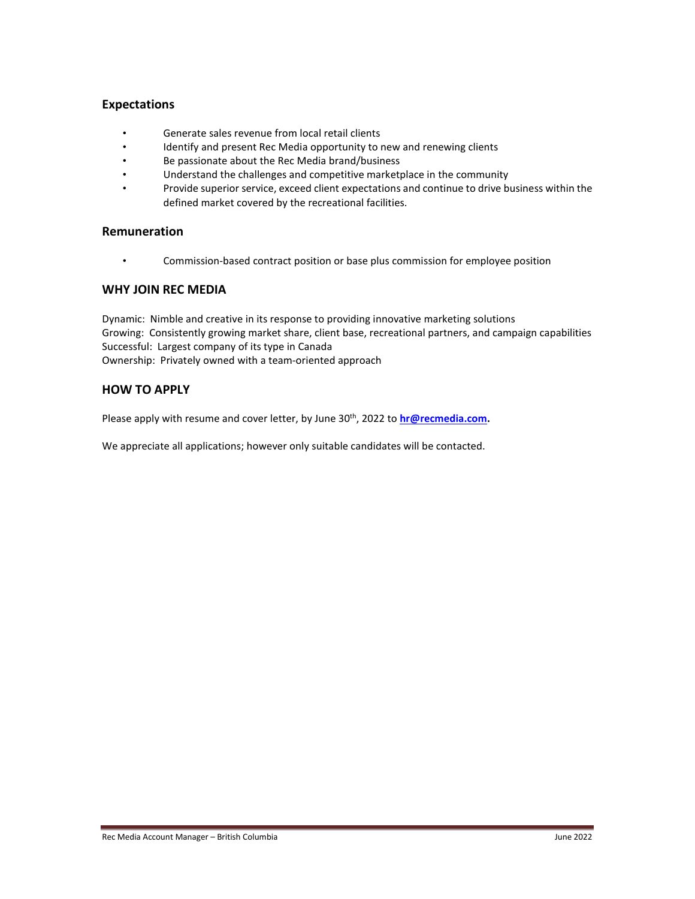#### **Expectations**

- Generate sales revenue from local retail clients
- Identify and present Rec Media opportunity to new and renewing clients
- Be passionate about the Rec Media brand/business
- Understand the challenges and competitive marketplace in the community
- Provide superior service, exceed client expectations and continue to drive business within the defined market covered by the recreational facilities.

#### **Remuneration**

• Commission-based contract position or base plus commission for employee position

#### **WHY JOIN REC MEDIA**

Dynamic: Nimble and creative in its response to providing innovative marketing solutions Growing: Consistently growing market share, client base, recreational partners, and campaign capabilities Successful: Largest company of its type in Canada Ownership: Privately owned with a team-oriented approach

#### **HOW TO APPLY**

Please apply with resume and cover letter, by June 30<sup>th</sup>, 2022 to **[hr@recmedia.com.](mailto:hr@recmedia.com)** 

We appreciate all applications; however only suitable candidates will be contacted.